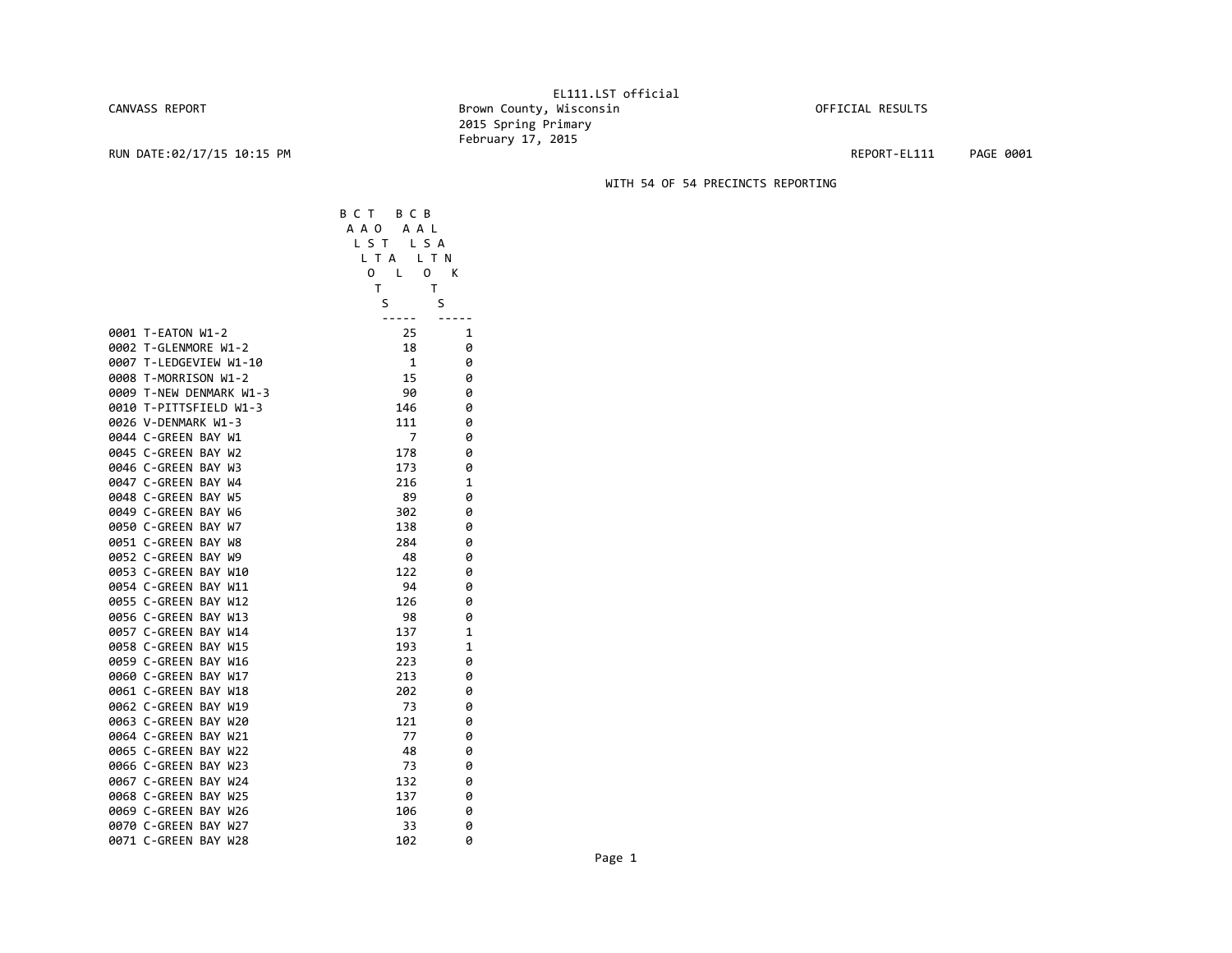## CANVASS REPORT

## EL111.LST official Brown County, Wisconsin **Brown County, Wisconsin** OFFICIAL RESULTS 2015 Spring Primary February 17, 2015

RUN DATE:02/17/15 10:15 PM REPORT‐EL111 PAGE 0001

## WITH 54 OF 54 PRECINCTS REPORTING

|      |                                                 | вст<br>всв<br>A A O<br>A A L<br>LS T<br>L S A<br>L T A | L T N  |
|------|-------------------------------------------------|--------------------------------------------------------|--------|
|      |                                                 | 0<br>0<br>L                                            | К      |
|      |                                                 | т                                                      | т      |
|      |                                                 | S                                                      | S      |
|      |                                                 |                                                        |        |
|      | 0001 T-EATON W1-2                               | 25                                                     | 1      |
|      | 0002 T-GLENMORE W1-2                            | 18                                                     | 0      |
|      | 0007 T-LEDGEVIEW W1-10                          | 1                                                      | 0      |
|      | 0008 T-MORRISON W1-2<br>0009 T-NEW DENMARK W1-3 | 15                                                     | 0      |
|      | 0010 T-PITTSFIELD W1-3                          | 90                                                     | 0      |
|      |                                                 | 146                                                    | 0      |
|      | 0026 V-DENMARK W1-3<br>0044 C-GREEN BAY W1      | 111<br>7                                               | 0      |
|      | 0045 C-GREEN BAY W2                             | 178                                                    | 0<br>0 |
|      | 0046 C-GREEN BAY W3                             | 173                                                    | 0      |
|      | 0047 C-GREEN BAY W4                             | 216                                                    | 1      |
|      | 0048 C-GREEN BAY W5                             | 89                                                     | 0      |
|      | 0049 C-GREEN BAY W6                             | 302                                                    | 0      |
|      | 0050 C-GREEN BAY W7                             | 138                                                    | 0      |
|      | 0051 C-GREEN BAY W8                             | 284                                                    | 0      |
|      | 0052 C-GREEN BAY W9                             | 48                                                     | 0      |
|      | 0053 C-GREEN BAY W10                            | 122                                                    | 0      |
|      | 0054 C-GREEN BAY W11                            | 94                                                     | 0      |
|      | 0055 C-GREEN BAY W12                            | 126                                                    | 0      |
|      | 0056 C-GREEN BAY W13                            | 98                                                     | 0      |
|      | 0057 C-GREEN BAY W14                            | 137                                                    | 1      |
|      | 0058 C-GREEN BAY W15                            | 193                                                    | 1      |
|      | 0059 C-GREEN BAY W16                            | 223                                                    | 0      |
|      | 0060 C-GREEN BAY W17                            | 213                                                    | 0      |
|      | 0061 C-GREEN BAY W18                            | 202                                                    | 0      |
|      | 0062 C-GREEN BAY W19                            | 73                                                     | 0      |
|      | 0063 C-GREEN BAY W20                            | 121                                                    | 0      |
|      | 0064 C-GREEN BAY W21                            | 77                                                     | 0      |
|      | 0065 C-GREEN BAY W22                            | 48                                                     | 0      |
|      | 0066 C-GREEN BAY W23                            | 73                                                     | 0      |
|      | 0067 C-GREEN BAY W24                            | 132                                                    | 0      |
|      | 0068 C-GREEN BAY W25                            | 137                                                    | 0      |
|      | 0069 C-GREEN BAY W26                            | 106                                                    | 0      |
|      | 0070 C-GREEN BAY W27                            | 33                                                     | 0      |
| 0071 | C-GREEN BAY W28                                 | 102                                                    | 0      |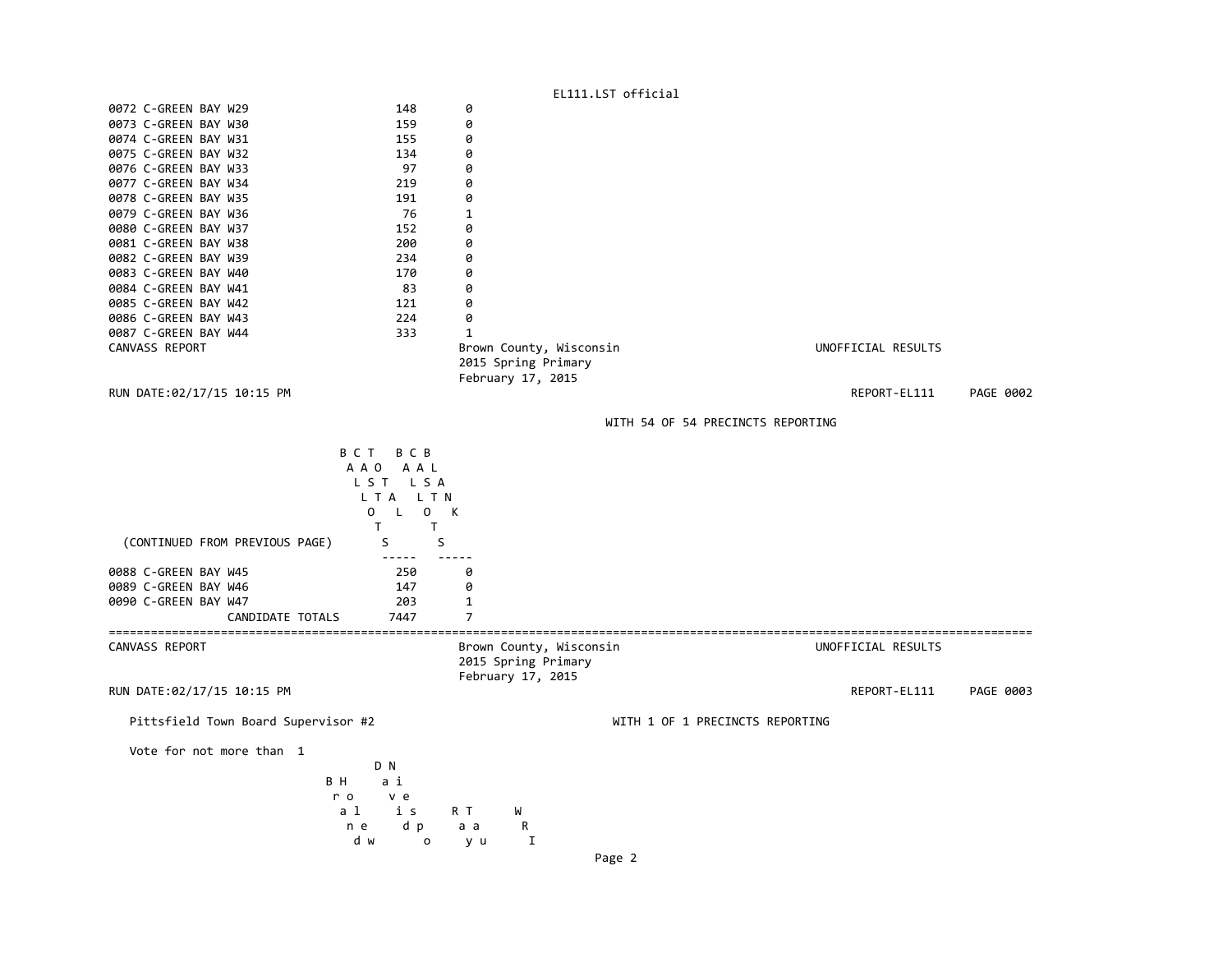| n e                                          | d p<br>d w<br>0                                                                                         | a a<br>R<br>$\mathbf I$<br>y u                                      |                                 |                                   |                    |           |
|----------------------------------------------|---------------------------------------------------------------------------------------------------------|---------------------------------------------------------------------|---------------------------------|-----------------------------------|--------------------|-----------|
| BН<br>r o<br>a l                             | a i<br>v e<br>i s                                                                                       | W<br>R T                                                            |                                 |                                   |                    |           |
| Vote for not more than 1                     | D N                                                                                                     |                                                                     |                                 |                                   |                    |           |
| Pittsfield Town Board Supervisor #2          |                                                                                                         |                                                                     | WITH 1 OF 1 PRECINCTS REPORTING |                                   |                    |           |
| RUN DATE:02/17/15 10:15 PM                   |                                                                                                         |                                                                     |                                 |                                   | REPORT-EL111       | PAGE 0003 |
| CANVASS REPORT                               |                                                                                                         | Brown County, Wisconsin<br>2015 Spring Primary<br>February 17, 2015 |                                 |                                   | UNOFFICIAL RESULTS |           |
| CANDIDATE TOTALS                             | 7447                                                                                                    | 7                                                                   |                                 |                                   |                    |           |
| 0090 C-GREEN BAY W47                         | 203                                                                                                     | 1                                                                   |                                 |                                   |                    |           |
| 0089 C-GREEN BAY W46                         | 147                                                                                                     | 0                                                                   |                                 |                                   |                    |           |
| 0088 C-GREEN BAY W45                         | 250                                                                                                     | 0                                                                   |                                 |                                   |                    |           |
| (CONTINUED FROM PREVIOUS PAGE)               | LTA LTN<br>0<br>$\mathsf{L}$<br>$\overline{0}$<br>$\mathsf{T}$<br>$\mathsf{T}$<br>S<br>S<br>$- - - - -$ | К                                                                   |                                 |                                   |                    |           |
|                                              | A A O<br>A A L<br>LST LSA                                                                               |                                                                     |                                 |                                   |                    |           |
|                                              | B C T B C B                                                                                             |                                                                     |                                 |                                   |                    |           |
|                                              |                                                                                                         |                                                                     |                                 | WITH 54 OF 54 PRECINCTS REPORTING |                    |           |
| RUN DATE:02/17/15 10:15 PM                   |                                                                                                         | February 17, 2015                                                   |                                 |                                   | REPORT-EL111       | PAGE 0002 |
|                                              |                                                                                                         | 2015 Spring Primary                                                 |                                 |                                   |                    |           |
| CANVASS REPORT                               |                                                                                                         | Brown County, Wisconsin                                             |                                 |                                   | UNOFFICIAL RESULTS |           |
| 0087 C-GREEN BAY W44                         | 333                                                                                                     | $\mathbf{1}$                                                        |                                 |                                   |                    |           |
| 0086 C-GREEN BAY W43                         | 224                                                                                                     | 0                                                                   |                                 |                                   |                    |           |
| 0085 C-GREEN BAY W42                         | 121                                                                                                     | 0                                                                   |                                 |                                   |                    |           |
| 0083 C-GREEN BAY W40<br>0084 C-GREEN BAY W41 | 83                                                                                                      | 0<br>0                                                              |                                 |                                   |                    |           |
| 0082 C-GREEN BAY W39                         | 234<br>170                                                                                              | 0                                                                   |                                 |                                   |                    |           |
| 0081 C-GREEN BAY W38                         | 200                                                                                                     | 0                                                                   |                                 |                                   |                    |           |
| 0080 C-GREEN BAY W37                         | 152                                                                                                     | 0                                                                   |                                 |                                   |                    |           |
| 0079 C-GREEN BAY W36                         | 76                                                                                                      | $\mathbf{1}$                                                        |                                 |                                   |                    |           |
| 0078 C-GREEN BAY W35                         | 191                                                                                                     | 0                                                                   |                                 |                                   |                    |           |
| 0077 C-GREEN BAY W34                         | 219                                                                                                     | 0                                                                   |                                 |                                   |                    |           |
| 0076 C-GREEN BAY W33                         | 97                                                                                                      | 0                                                                   |                                 |                                   |                    |           |
| 0075 C-GREEN BAY W32                         | 134                                                                                                     | 0                                                                   |                                 |                                   |                    |           |
| 0074 C-GREEN BAY W31                         | 155                                                                                                     | 0                                                                   |                                 |                                   |                    |           |
| 0073 C-GREEN BAY W30                         | 159                                                                                                     | 0                                                                   |                                 |                                   |                    |           |
| 0072 C-GREEN BAY W29                         | 148                                                                                                     | 0                                                                   |                                 |                                   |                    |           |
|                                              |                                                                                                         |                                                                     | EL111.LST official              |                                   |                    |           |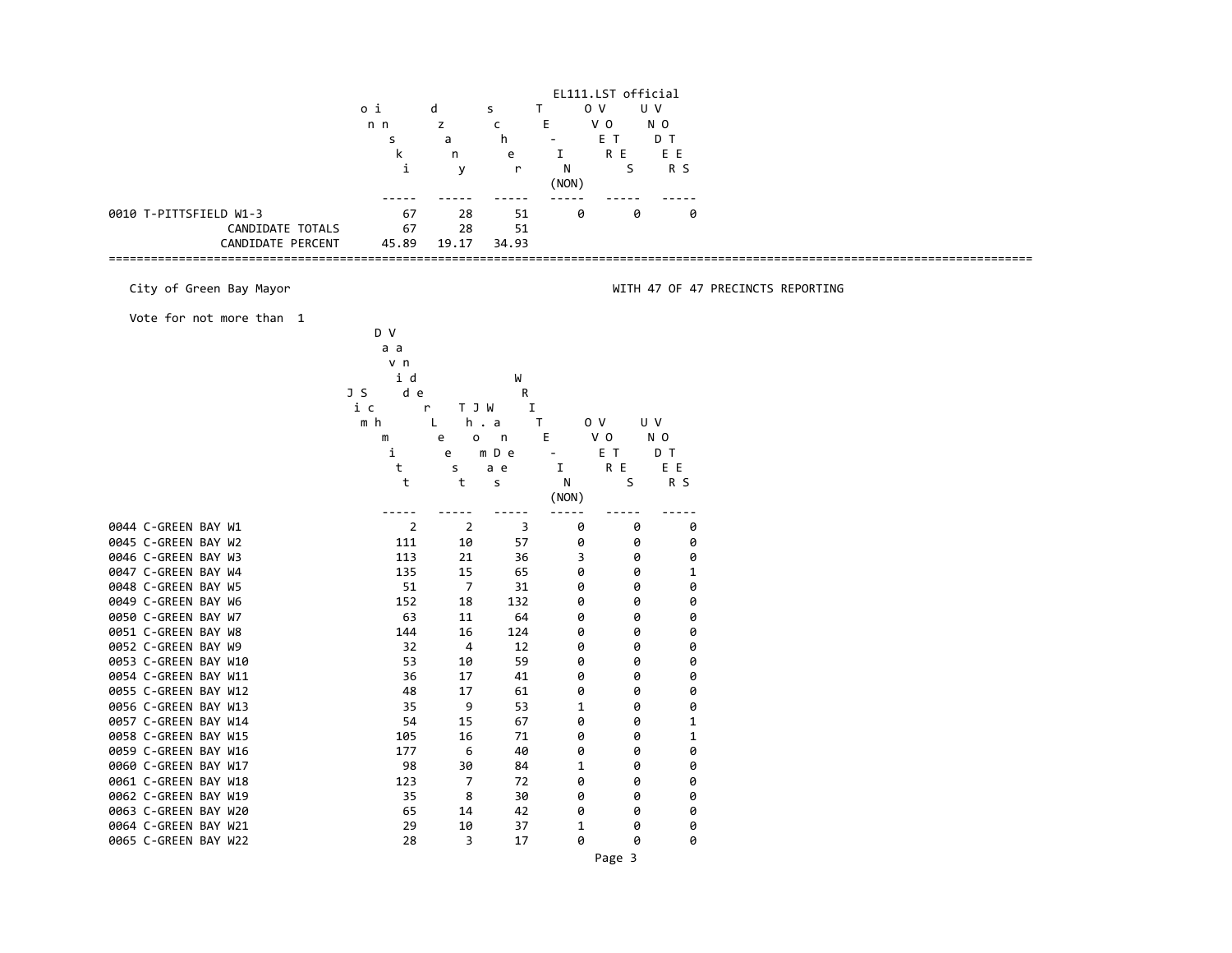|                                                            |                | EL111.LST official |              |                |                |                |                                   |
|------------------------------------------------------------|----------------|--------------------|--------------|----------------|----------------|----------------|-----------------------------------|
|                                                            | o i            | d                  | Τ<br>s       | 0 <sub>V</sub> | U V            |                |                                   |
|                                                            | n n            | z                  | $\mathsf{C}$ | E              | V <sub>0</sub> | N <sub>0</sub> |                                   |
|                                                            | s              | a                  | h            |                | E T            | D T            |                                   |
|                                                            | k              | n                  | e            | I              | R E            | E E            |                                   |
|                                                            | i              | y                  | r            | N              | S              | R S            |                                   |
|                                                            |                |                    |              | (NON)          |                |                |                                   |
|                                                            | ----           |                    |              |                |                |                |                                   |
| 0010 T-PITTSFIELD W1-3                                     | 67             | 28                 | 51           | 0              | Ø              | 0              |                                   |
| CANDIDATE TOTALS                                           | 67             | 28                 | 51           |                |                |                |                                   |
| CANDIDATE PERCENT<br>------------------------------------- | 45.89          | 19.17              | 34.93        |                |                |                |                                   |
|                                                            |                |                    |              |                |                |                |                                   |
| City of Green Bay Mayor                                    |                |                    |              |                |                |                | WITH 47 OF 47 PRECINCTS REPORTING |
| Vote for not more than 1                                   |                |                    |              |                |                |                |                                   |
|                                                            | D V            |                    |              |                |                |                |                                   |
|                                                            | a a            |                    |              |                |                |                |                                   |
|                                                            | v n            |                    |              |                |                |                |                                   |
|                                                            | i d            |                    | W            |                |                |                |                                   |
|                                                            | J S<br>d e     |                    | R            |                |                |                |                                   |
|                                                            | i c            | T J W<br>r         | I            |                |                |                |                                   |
|                                                            | m h            | L                  | h.a<br>T     |                | 0 V<br>U V     |                |                                   |
|                                                            | ${\mathsf m}$  | e<br>о             | $\mathsf n$  | E              | V 0            | N <sub>0</sub> |                                   |
|                                                            | i              | e                  | m D e        |                | E T            | D T            |                                   |
|                                                            | t              | s                  | a e          | I              | R E            | E E            |                                   |
|                                                            | t              | t                  | s            | N              | S              | R S            |                                   |
|                                                            |                |                    |              | (NON)          |                |                |                                   |
|                                                            | $- - - -$      |                    |              |                |                |                |                                   |
| 0044 C-GREEN BAY W1                                        | $\overline{2}$ | $\overline{2}$     | 3            | 0              | 0              | 0              |                                   |
| 0045 C-GREEN BAY W2                                        | 111            | 10                 | 57           | 0              | 0              | 0              |                                   |
| 0046 C-GREEN BAY W3                                        | 113            | 21                 | 36           | 3              | 0              | 0              |                                   |
| 0047 C-GREEN BAY W4                                        | 135            | 15                 | 65           | 0              | 0              | 1              |                                   |
| 0048 C-GREEN BAY W5                                        | 51             | 7                  | 31           | 0              | 0              | 0              |                                   |
| 0049 C-GREEN BAY W6                                        | 152            | 18                 | 132          | 0              | 0              | 0              |                                   |
| 0050 C-GREEN BAY W7                                        | 63             | 11                 | 64           | 0              | 0              | 0              |                                   |
| 0051 C-GREEN BAY W8                                        | 144            | 16                 | 124          | 0              | 0              | 0              |                                   |
| 0052 C-GREEN BAY W9                                        | 32             | 4                  | 12           | 0              | 0              | 0              |                                   |
| 0053 C-GREEN BAY W10                                       | 53             | 10                 | 59           | 0              | 0              | 0              |                                   |
| 0054 C-GREEN BAY W11                                       | 36             | 17                 | 41           | 0              | 0              | 0              |                                   |
| 0055 C-GREEN BAY W12                                       | 48             | 17                 | 61           | 0              | 0              | 0              |                                   |
| 0056 C-GREEN BAY W13                                       | 35             | 9                  | 53           | $\mathbf{1}$   | 0              | 0              |                                   |
| 0057 C-GREEN BAY W14                                       | 54             | 15                 | 67           | 0              | 0              | $\mathbf{1}$   |                                   |
| 0058 C-GREEN BAY W15                                       | 105            | 16                 | 71           | 0              | 0              | 1              |                                   |
| 0059 C-GREEN BAY W16                                       | 177            | 6                  | 40           | 0              | 0              | 0              |                                   |
| 0060 C-GREEN BAY W17                                       | 98             | 30                 | 84           | $\mathbf{1}$   | 0              | 0              |                                   |
| 0061 C-GREEN BAY W18                                       | 123            | 7                  | 72           | 0              | 0              | 0              |                                   |
| 0062 C-GREEN BAY W19                                       | 35             | 8                  | 30           | 0              | 0              | 0              |                                   |
| 0063 C-GREEN BAY W20                                       | 65             | 14                 | 42           | 0              | 0              | 0              |                                   |
| 0064 C-GREEN BAY W21                                       | 29             | 10                 | 37           | $\mathbf{1}$   | Ø              | 0              |                                   |
| 0065 C-GREEN BAY W22                                       | 28             | 3                  | 17           | 0              | 0              | 0              |                                   |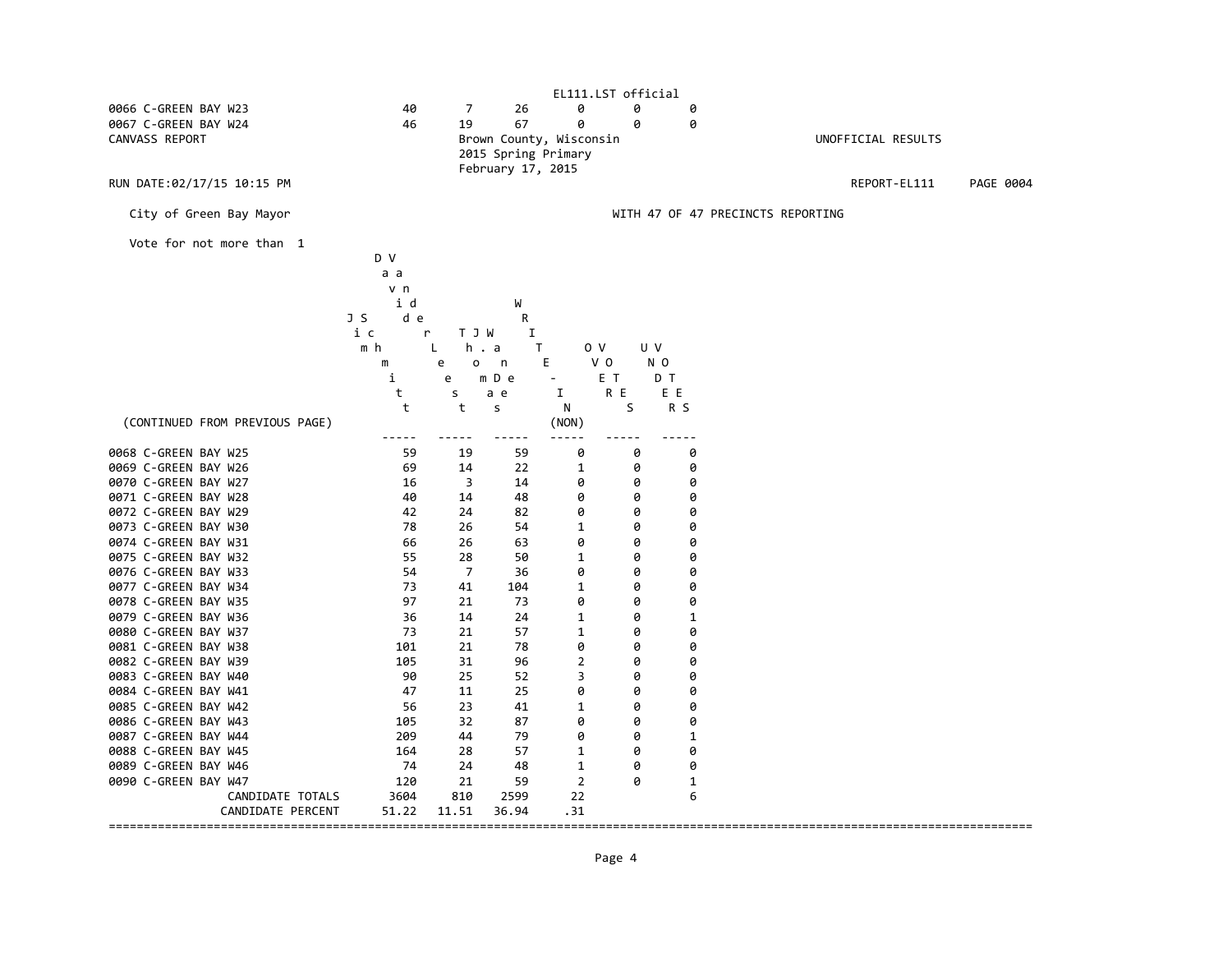| EL111.LST official             |             |            |                         |                          |                |              |                                   |  |  |  |
|--------------------------------|-------------|------------|-------------------------|--------------------------|----------------|--------------|-----------------------------------|--|--|--|
| 0066 C-GREEN BAY W23           | 40          | 7          | 26                      | 0                        | 0              | 0            |                                   |  |  |  |
| 0067 C-GREEN BAY W24           | 46          | 19         | 67                      | 0                        | 0              | 0            |                                   |  |  |  |
| CANVASS REPORT                 |             |            | Brown County, Wisconsin |                          |                |              | UNOFFICIAL RESULTS                |  |  |  |
|                                |             |            | 2015 Spring Primary     |                          |                |              |                                   |  |  |  |
|                                |             |            | February 17, 2015       |                          |                |              |                                   |  |  |  |
| RUN DATE:02/17/15 10:15 PM     |             |            |                         |                          |                |              | REPORT-EL111<br>PAGE 0004         |  |  |  |
|                                |             |            |                         |                          |                |              |                                   |  |  |  |
| City of Green Bay Mayor        |             |            |                         |                          |                |              | WITH 47 OF 47 PRECINCTS REPORTING |  |  |  |
|                                |             |            |                         |                          |                |              |                                   |  |  |  |
| Vote for not more than 1       |             |            |                         |                          |                |              |                                   |  |  |  |
|                                | D V         |            |                         |                          |                |              |                                   |  |  |  |
|                                |             |            |                         |                          |                |              |                                   |  |  |  |
|                                | a a         |            |                         |                          |                |              |                                   |  |  |  |
|                                | v n         |            |                         |                          |                |              |                                   |  |  |  |
|                                | i d         |            | W                       |                          |                |              |                                   |  |  |  |
|                                | J S<br>d e  |            | R                       |                          |                |              |                                   |  |  |  |
|                                | i c<br>r    | T J W      | I                       |                          |                |              |                                   |  |  |  |
|                                | m h         | h . a<br>L | T.                      |                          | U V<br>0 V     |              |                                   |  |  |  |
|                                | m           | e<br>o     | n                       | Е                        | V <sub>0</sub> | N O          |                                   |  |  |  |
|                                | i           | e          | m D e                   | $\overline{\phantom{a}}$ | E T            | D T          |                                   |  |  |  |
|                                | t           | s          | a e                     | I                        | R E            | E E          |                                   |  |  |  |
|                                | t           | t          | s                       | N                        | S              | R S          |                                   |  |  |  |
| (CONTINUED FROM PREVIOUS PAGE) |             |            |                         | (NON)                    |                |              |                                   |  |  |  |
|                                | $- - - - -$ |            |                         |                          |                | -----        |                                   |  |  |  |
| 0068 C-GREEN BAY W25           | 59          | 19         | 59                      | 0                        | 0              | 0            |                                   |  |  |  |
| 0069 C-GREEN BAY W26           | 69          | 14         | 22                      | 1                        | 0              | 0            |                                   |  |  |  |
| 0070 C-GREEN BAY W27           | 16          | 3          | 14                      | 0                        | 0              | 0            |                                   |  |  |  |
| 0071 C-GREEN BAY W28           | 40          | 14         | 48                      | 0                        | 0              | 0            |                                   |  |  |  |
| 0072 C-GREEN BAY W29           | 42          | 24         | 82                      | 0                        | 0              | 0            |                                   |  |  |  |
| 0073 C-GREEN BAY W30           | 78          | 26         | 54                      | 1                        | 0              | 0            |                                   |  |  |  |
| 0074 C-GREEN BAY W31           | 66          | 26         | 63                      | 0                        | 0              | 0            |                                   |  |  |  |
| 0075 C-GREEN BAY W32           | 55          | 28         | 50                      | 1                        | 0              | 0            |                                   |  |  |  |
| 0076 C-GREEN BAY W33           | 54          | 7          | 36                      | 0                        | 0              | 0            |                                   |  |  |  |
|                                |             |            |                         |                          |                |              |                                   |  |  |  |
| 0077 C-GREEN BAY W34           | 73          | 41         | 104                     | 1                        | 0              | 0            |                                   |  |  |  |
| 0078 C-GREEN BAY W35           | 97          | 21         | 73                      | 0                        | 0              | 0            |                                   |  |  |  |
| 0079 C-GREEN BAY W36           | 36          | 14         | 24                      | 1                        | 0              | 1            |                                   |  |  |  |
| 0080 C-GREEN BAY W37           | 73          | 21         | 57                      | $\mathbf 1$              | 0              | 0            |                                   |  |  |  |
| 0081 C-GREEN BAY W38           | 101         | 21         | 78                      | 0                        | 0              | 0            |                                   |  |  |  |
| 0082 C-GREEN BAY W39           | 105         | 31         | 96                      | $\overline{2}$           | 0              | 0            |                                   |  |  |  |
| 0083 C-GREEN BAY W40           | 90          | 25         | 52                      | 3                        | 0              | 0            |                                   |  |  |  |
| 0084 C-GREEN BAY W41           | 47          | 11         | 25                      | 0                        | 0              | 0            |                                   |  |  |  |
| 0085 C-GREEN BAY W42           | 56          | 23         | 41                      | $\mathbf{1}$             | 0              | 0            |                                   |  |  |  |
| 0086 C-GREEN BAY W43           | 105         | 32         | 87                      | 0                        | 0              | 0            |                                   |  |  |  |
| 0087 C-GREEN BAY W44           | 209         | 44         | 79                      | 0                        | 0              | $\mathbf 1$  |                                   |  |  |  |
| 0088 C-GREEN BAY W45           | 164         | 28         | 57                      | 1                        | 0              | 0            |                                   |  |  |  |
| 0089 C-GREEN BAY W46           | 74          | 24         | 48                      | 1                        | 0              | 0            |                                   |  |  |  |
| 0090 C-GREEN BAY W47           | 120         | 21         | 59                      | $\overline{2}$           | 0              | $\mathbf{1}$ |                                   |  |  |  |
| CANDIDATE TOTALS               | 3604        | 810        | 2599                    | 22                       |                | 6            |                                   |  |  |  |
| CANDIDATE PERCENT              | 51.22       | 11.51      | 36.94                   | .31                      |                |              |                                   |  |  |  |
|                                |             |            |                         |                          |                |              |                                   |  |  |  |